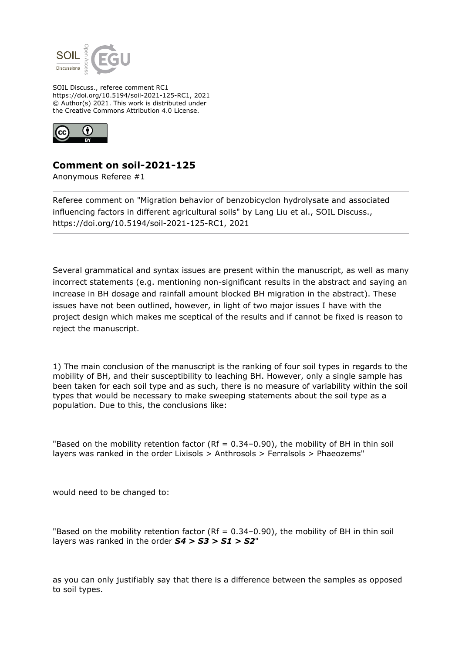

SOIL Discuss., referee comment RC1 https://doi.org/10.5194/soil-2021-125-RC1, 2021 © Author(s) 2021. This work is distributed under the Creative Commons Attribution 4.0 License.



## **Comment on soil-2021-125**

Anonymous Referee #1

Referee comment on "Migration behavior of benzobicyclon hydrolysate and associated influencing factors in different agricultural soils" by Lang Liu et al., SOIL Discuss., https://doi.org/10.5194/soil-2021-125-RC1, 2021

Several grammatical and syntax issues are present within the manuscript, as well as many incorrect statements (e.g. mentioning non-significant results in the abstract and saying an increase in BH dosage and rainfall amount blocked BH migration in the abstract). These issues have not been outlined, however, in light of two major issues I have with the project design which makes me sceptical of the results and if cannot be fixed is reason to reject the manuscript.

1) The main conclusion of the manuscript is the ranking of four soil types in regards to the mobility of BH, and their susceptibility to leaching BH. However, only a single sample has been taken for each soil type and as such, there is no measure of variability within the soil types that would be necessary to make sweeping statements about the soil type as a population. Due to this, the conclusions like:

"Based on the mobility retention factor (Rf =  $0.34-0.90$ ), the mobility of BH in thin soil layers was ranked in the order Lixisols > Anthrosols > Ferralsols > Phaeozems"

would need to be changed to:

"Based on the mobility retention factor (Rf =  $0.34-0.90$ ), the mobility of BH in thin soil layers was ranked in the order *S4 > S3 > S1 > S2*"

as you can only justifiably say that there is a difference between the samples as opposed to soil types.